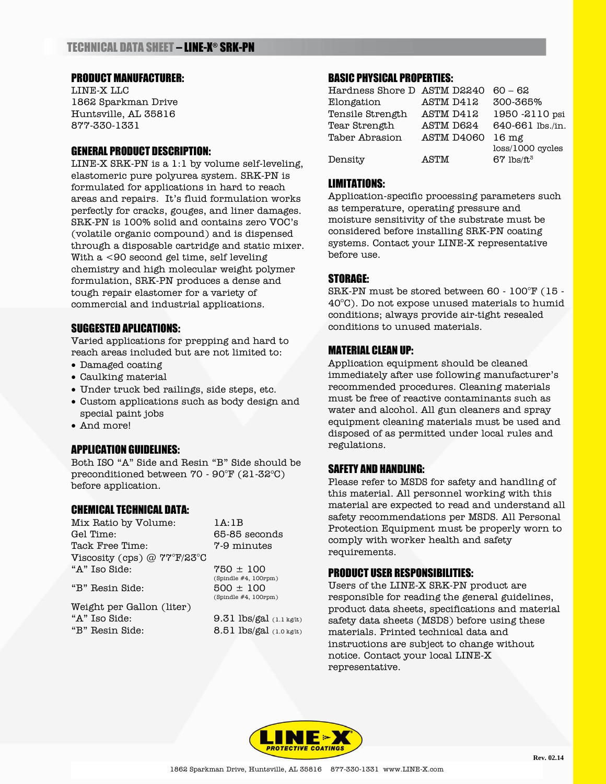# PRODUCT MANUFACTURER:

LINE-X LLC 1862 Sparkman Drive Huntsville, AL 35816 877-330-1331

### GENERAL PRODUCT DESCRIPTION:

LINE-X SRK-PN is a 1:1 by volume self-leveling, elastomeric pure polyurea system. SRK-PN is formulated for applications in hard to reach areas and repairs. It's fluid formulation works perfectly for cracks, gouges, and liner damages. SRK-PN is 100% solid and contains zero VOC's (volatile organic compound) and is dispensed through a disposable cartridge and static mixer. With a <90 second gel time, self leveling chemistry and high molecular weight polymer formulation, SRK-PN produces a dense and tough repair elastomer for a variety of commercial and industrial applications.

### SUGGESTED APLICATIONS:

Varied applications for prepping and hard to reach areas included but are not limited to:

- Damaged coating
- Caulking material
- Under truck bed railings, side steps, etc.
- Custom applications such as body design and special paint jobs
- And more!

### APPLICATION GUIDELINES:

Both ISO "A" Side and Resin "B" Side should be preconditioned between  $70 - 90^{\circ}$ F (21-32 $^{\circ}$ C) before application.

### CHEMICAL TECHNICAL DATA:

Mix Ratio by Volume: 1A:1B Gel Time: 65-85 seconds Tack Free Time: 7-9 minutes Viscosity (cps) @ 77°F/23°C  $A''$  Iso Side:  $750 \pm 100$ 

"B" Resin Side:  $500 \pm 100$ 

Weight per Gallon (liter) "A" Iso Side:  $9.31$  lbs/gal  $(1.1 \text{ kg/lt})$ "B" Resin Side: 8.51 lbs/gal (1.0 kg/lt)

 $(Spindie #4, 100\n$ rpm $)$ (Spindle #4, 100rpm)

### BASIC PHYSICAL PROPERTIES:

| Hardness Shore D ASTM D2240 |            | $60 - 62$                |
|-----------------------------|------------|--------------------------|
| Elongation                  | ASTM D412  | 300-365%                 |
| Tensile Strength            | ASTM D412  | 1950 -2110 psi           |
| Tear Strength               | ASTM D624  | 640-661 lbs./in.         |
| Taber Abrasion              | ASTM D4060 | 16 mg                    |
|                             |            | $loss/1000$ cycles       |
| Density                     | ASTM       | $67$ lbs/ft <sup>3</sup> |

### LIMITATIONS:

Application-specific processing parameters such as temperature, operating pressure and moisture sensitivity of the substrate must be considered before installing SRK-PN coating systems. Contact your LINE-X representative before use.

## STORAGE:

SRK-PN must be stored between 60 - 100°F (15 -  $40^{\circ}$ C). Do not expose unused materials to humid conditions; always provide air-tight resealed conditions to unused materials.

### MATERIAL CLEAN UP:

Application equipment should be cleaned immediately after use following manufacturer's recommended procedures. Cleaning materials must be free of reactive contaminants such as water and alcohol. All gun cleaners and spray equipment cleaning materials must be used and disposed of as permitted under local rules and regulations.

### SAFETY AND HANDLING:

Please refer to MSDS for safety and handling of this material. All personnel working with this material are expected to read and understand all safety recommendations per MSDS. All Personal Protection Equipment must be properly worn to comply with worker health and safety requirements.

### PRODUCT USER RESPONSIBILITIES:

Users of the LINE-X SRK-PN product are responsible for reading the general guidelines, product data sheets, specifications and material safety data sheets (MSDS) before using these materials. Printed technical data and instructions are subject to change without notice. Contact your local LINE-X representative.